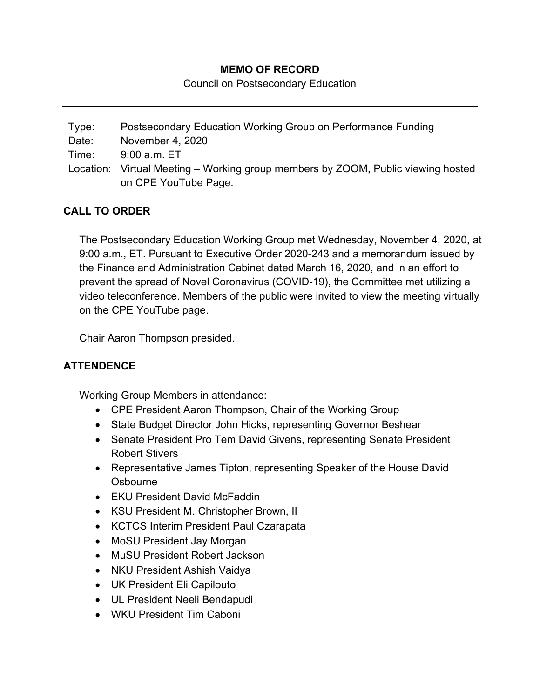### **MEMO OF RECORD**

Council on Postsecondary Education

Type: Postsecondary Education Working Group on Performance Funding Date: November 4, 2020 Time: 9:00 a.m. ET Location: Virtual Meeting – Working group members by ZOOM, Public viewing hosted on CPE YouTube Page.

### **CALL TO ORDER**

The Postsecondary Education Working Group met Wednesday, November 4, 2020, at 9:00 a.m., ET. Pursuant to Executive Order 2020-243 and a memorandum issued by the Finance and Administration Cabinet dated March 16, 2020, and in an effort to prevent the spread of Novel Coronavirus (COVID-19), the Committee met utilizing a video teleconference. Members of the public were invited to view the meeting virtually on the CPE YouTube page.

Chair Aaron Thompson presided.

# **ATTENDENCE**

Working Group Members in attendance:

- CPE President Aaron Thompson, Chair of the Working Group
- State Budget Director John Hicks, representing Governor Beshear
- Senate President Pro Tem David Givens, representing Senate President Robert Stivers
- Representative James Tipton, representing Speaker of the House David **Oshourne**
- EKU President David McFaddin
- KSU President M. Christopher Brown, II
- KCTCS Interim President Paul Czarapata
- MoSU President Jay Morgan
- MuSU President Robert Jackson
- NKU President Ashish Vaidya
- UK President Eli Capilouto
- UL President Neeli Bendapudi
- WKU President Tim Caboni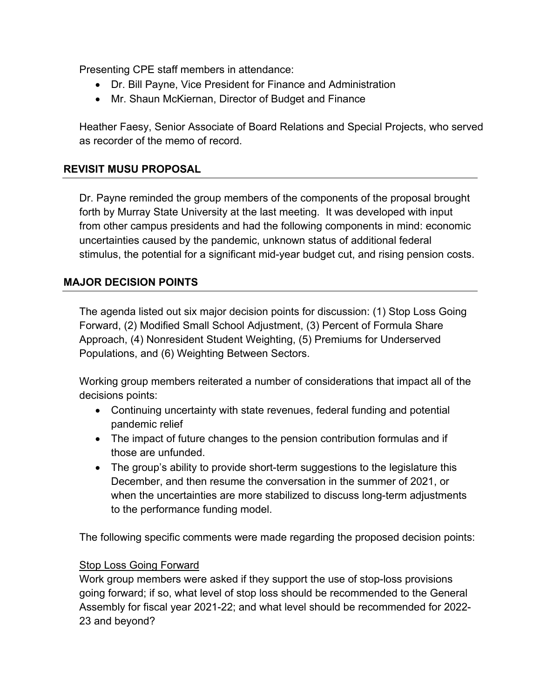Presenting CPE staff members in attendance:

- Dr. Bill Payne, Vice President for Finance and Administration
- Mr. Shaun McKiernan, Director of Budget and Finance

Heather Faesy, Senior Associate of Board Relations and Special Projects, who served as recorder of the memo of record.

### **REVISIT MUSU PROPOSAL**

Dr. Payne reminded the group members of the components of the proposal brought forth by Murray State University at the last meeting. It was developed with input from other campus presidents and had the following components in mind: economic uncertainties caused by the pandemic, unknown status of additional federal stimulus, the potential for a significant mid-year budget cut, and rising pension costs.

### **MAJOR DECISION POINTS**

The agenda listed out six major decision points for discussion: (1) Stop Loss Going Forward, (2) Modified Small School Adjustment, (3) Percent of Formula Share Approach, (4) Nonresident Student Weighting, (5) Premiums for Underserved Populations, and (6) Weighting Between Sectors.

Working group members reiterated a number of considerations that impact all of the decisions points:

- Continuing uncertainty with state revenues, federal funding and potential pandemic relief
- The impact of future changes to the pension contribution formulas and if those are unfunded.
- The group's ability to provide short-term suggestions to the legislature this December, and then resume the conversation in the summer of 2021, or when the uncertainties are more stabilized to discuss long-term adjustments to the performance funding model.

The following specific comments were made regarding the proposed decision points:

#### Stop Loss Going Forward

Work group members were asked if they support the use of stop-loss provisions going forward; if so, what level of stop loss should be recommended to the General Assembly for fiscal year 2021-22; and what level should be recommended for 2022- 23 and beyond?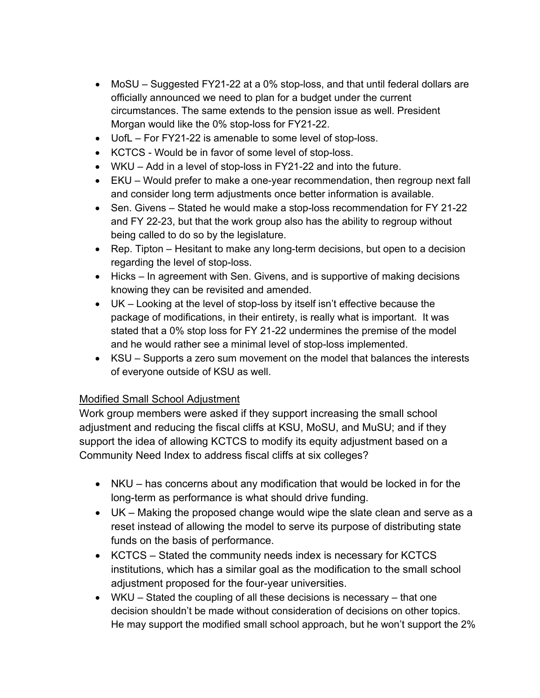- MoSU Suggested FY21-22 at a 0% stop-loss, and that until federal dollars are officially announced we need to plan for a budget under the current circumstances. The same extends to the pension issue as well. President Morgan would like the 0% stop-loss for FY21-22.
- UofL For FY21-22 is amenable to some level of stop-loss.
- KCTCS Would be in favor of some level of stop-loss.
- WKU Add in a level of stop-loss in FY21-22 and into the future.
- EKU Would prefer to make a one-year recommendation, then regroup next fall and consider long term adjustments once better information is available.
- Sen. Givens Stated he would make a stop-loss recommendation for FY 21-22 and FY 22-23, but that the work group also has the ability to regroup without being called to do so by the legislature.
- Rep. Tipton Hesitant to make any long-term decisions, but open to a decision regarding the level of stop-loss.
- Hicks In agreement with Sen. Givens, and is supportive of making decisions knowing they can be revisited and amended.
- UK Looking at the level of stop-loss by itself isn't effective because the package of modifications, in their entirety, is really what is important. It was stated that a 0% stop loss for FY 21-22 undermines the premise of the model and he would rather see a minimal level of stop-loss implemented.
- KSU Supports a zero sum movement on the model that balances the interests of everyone outside of KSU as well.

### Modified Small School Adjustment

Work group members were asked if they support increasing the small school adjustment and reducing the fiscal cliffs at KSU, MoSU, and MuSU; and if they support the idea of allowing KCTCS to modify its equity adjustment based on a Community Need Index to address fiscal cliffs at six colleges?

- NKU has concerns about any modification that would be locked in for the long-term as performance is what should drive funding.
- UK Making the proposed change would wipe the slate clean and serve as a reset instead of allowing the model to serve its purpose of distributing state funds on the basis of performance.
- KCTCS Stated the community needs index is necessary for KCTCS institutions, which has a similar goal as the modification to the small school adjustment proposed for the four-year universities.
- WKU Stated the coupling of all these decisions is necessary that one decision shouldn't be made without consideration of decisions on other topics. He may support the modified small school approach, but he won't support the 2%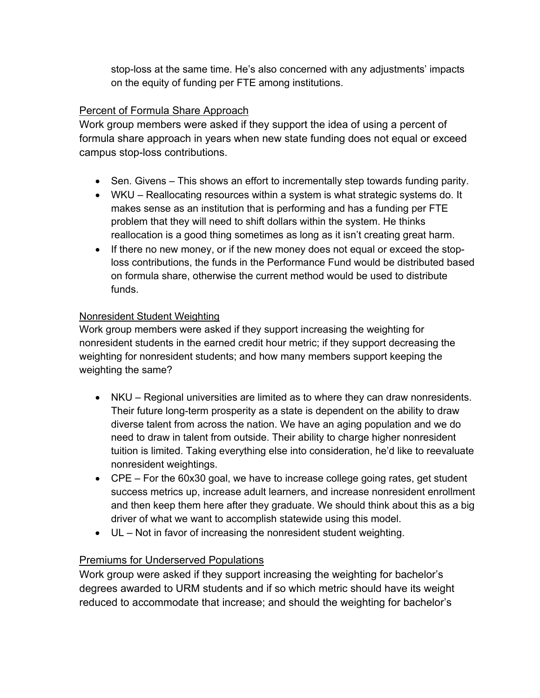stop-loss at the same time. He's also concerned with any adjustments' impacts on the equity of funding per FTE among institutions.

# Percent of Formula Share Approach

Work group members were asked if they support the idea of using a percent of formula share approach in years when new state funding does not equal or exceed campus stop-loss contributions.

- Sen. Givens This shows an effort to incrementally step towards funding parity.
- WKU Reallocating resources within a system is what strategic systems do. It makes sense as an institution that is performing and has a funding per FTE problem that they will need to shift dollars within the system. He thinks reallocation is a good thing sometimes as long as it isn't creating great harm.
- If there no new money, or if the new money does not equal or exceed the stoploss contributions, the funds in the Performance Fund would be distributed based on formula share, otherwise the current method would be used to distribute funds.

### Nonresident Student Weighting

Work group members were asked if they support increasing the weighting for nonresident students in the earned credit hour metric; if they support decreasing the weighting for nonresident students; and how many members support keeping the weighting the same?

- NKU Regional universities are limited as to where they can draw nonresidents. Their future long-term prosperity as a state is dependent on the ability to draw diverse talent from across the nation. We have an aging population and we do need to draw in talent from outside. Their ability to charge higher nonresident tuition is limited. Taking everything else into consideration, he'd like to reevaluate nonresident weightings.
- CPE For the 60x30 goal, we have to increase college going rates, get student success metrics up, increase adult learners, and increase nonresident enrollment and then keep them here after they graduate. We should think about this as a big driver of what we want to accomplish statewide using this model.
- UL Not in favor of increasing the nonresident student weighting.

# Premiums for Underserved Populations

Work group were asked if they support increasing the weighting for bachelor's degrees awarded to URM students and if so which metric should have its weight reduced to accommodate that increase; and should the weighting for bachelor's